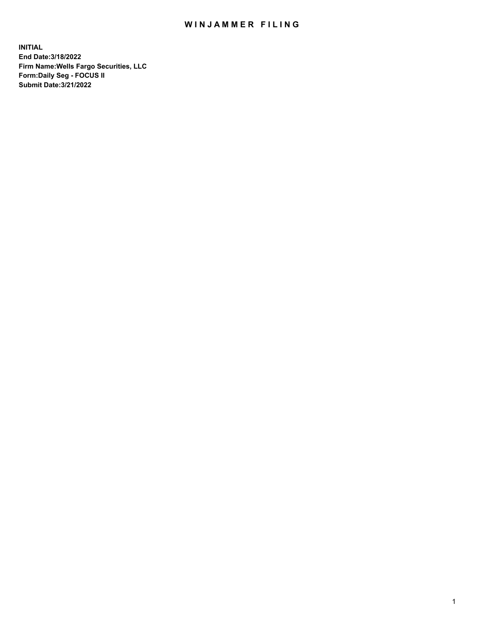## WIN JAMMER FILING

**INITIAL End Date:3/18/2022 Firm Name:Wells Fargo Securities, LLC Form:Daily Seg - FOCUS II Submit Date:3/21/2022**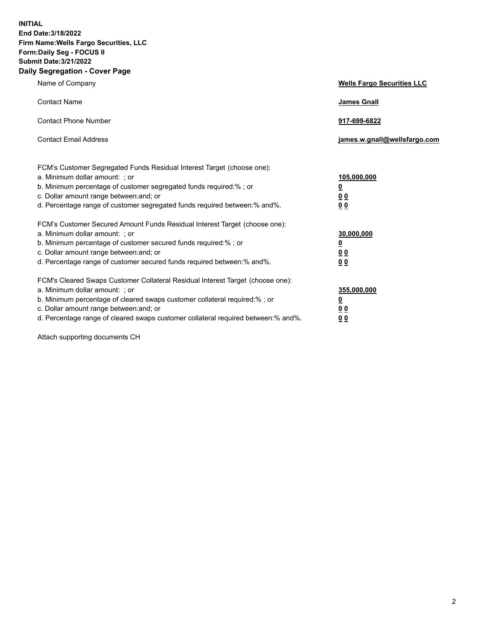**INITIAL End Date:3/18/2022 Firm Name:Wells Fargo Securities, LLC Form:Daily Seg - FOCUS II Submit Date:3/21/2022 Daily Segregation - Cover Page**

| Name of Company                                                                                                                                                                                                                                                                                                                | <b>Wells Fargo Securities LLC</b>                          |
|--------------------------------------------------------------------------------------------------------------------------------------------------------------------------------------------------------------------------------------------------------------------------------------------------------------------------------|------------------------------------------------------------|
| <b>Contact Name</b>                                                                                                                                                                                                                                                                                                            | <b>James Gnall</b>                                         |
| <b>Contact Phone Number</b>                                                                                                                                                                                                                                                                                                    | 917-699-6822                                               |
| <b>Contact Email Address</b>                                                                                                                                                                                                                                                                                                   | james.w.gnall@wellsfargo.com                               |
| FCM's Customer Segregated Funds Residual Interest Target (choose one):<br>a. Minimum dollar amount: ; or<br>b. Minimum percentage of customer segregated funds required:% ; or<br>c. Dollar amount range between: and; or<br>d. Percentage range of customer segregated funds required between:% and%.                         | 105,000,000<br><u>0</u><br>0 <sub>0</sub><br>00            |
| FCM's Customer Secured Amount Funds Residual Interest Target (choose one):<br>a. Minimum dollar amount: ; or<br>b. Minimum percentage of customer secured funds required:%; or<br>c. Dollar amount range between: and; or<br>d. Percentage range of customer secured funds required between:% and%.                            | 30,000,000<br><u>0</u><br>0 <sub>0</sub><br>0 <sub>0</sub> |
| FCM's Cleared Swaps Customer Collateral Residual Interest Target (choose one):<br>a. Minimum dollar amount: ; or<br>b. Minimum percentage of cleared swaps customer collateral required:% ; or<br>c. Dollar amount range between: and; or<br>d. Percentage range of cleared swaps customer collateral required between:% and%. | 355,000,000<br><u>0</u><br>00<br>00                        |

Attach supporting documents CH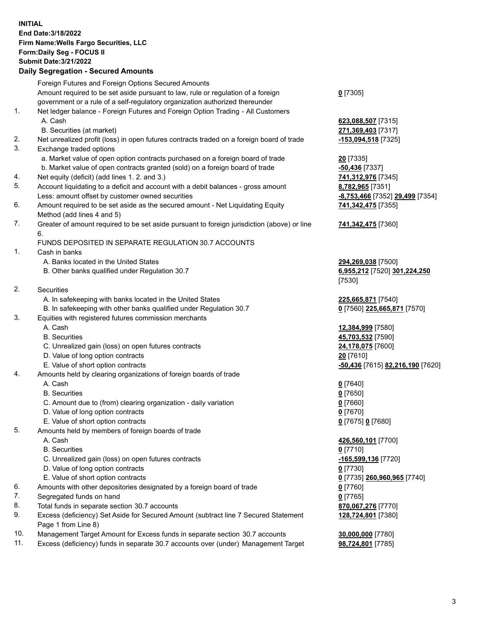**INITIAL End Date:3/18/2022 Firm Name:Wells Fargo Securities, LLC Form:Daily Seg - FOCUS II Submit Date:3/21/2022 Daily Segregation - Secured Amounts**

Foreign Futures and Foreign Options Secured Amounts Amount required to be set aside pursuant to law, rule or regulation of a foreign government or a rule of a self-regulatory organization authorized thereunder **0** [7305] 1. Net ledger balance - Foreign Futures and Foreign Option Trading - All Customers A. Cash **623,088,507** [7315] B. Securities (at market) **271,369,403** [7317] 2. Net unrealized profit (loss) in open futures contracts traded on a foreign board of trade **-153,094,518** [7325] 3. Exchange traded options a. Market value of open option contracts purchased on a foreign board of trade **20** [7335] b. Market value of open contracts granted (sold) on a foreign board of trade **-50,436** [7337] 4. Net equity (deficit) (add lines 1. 2. and 3.) **741,312,976** [7345] 5. Account liquidating to a deficit and account with a debit balances - gross amount **8,782,965** [7351] Less: amount offset by customer owned securities **-8,753,466** [7352] **29,499** [7354] 6. Amount required to be set aside as the secured amount - Net Liquidating Equity Method (add lines 4 and 5) **741,342,475** [7355] 7. Greater of amount required to be set aside pursuant to foreign jurisdiction (above) or line 6. **741,342,475** [7360] FUNDS DEPOSITED IN SEPARATE REGULATION 30.7 ACCOUNTS 1. Cash in banks A. Banks located in the United States **294,269,038** [7500] B. Other banks qualified under Regulation 30.7 **6,955,212** [7520] **301,224,250** [7530] 2. Securities A. In safekeeping with banks located in the United States **225,665,871** [7540] B. In safekeeping with other banks qualified under Regulation 30.7 **0** [7560] **225,665,871** [7570] 3. Equities with registered futures commission merchants A. Cash **12,384,999** [7580] B. Securities **45,703,532** [7590] C. Unrealized gain (loss) on open futures contracts **24,178,075** [7600] D. Value of long option contracts **20** [7610] E. Value of short option contracts **-50,436** [7615] **82,216,190** [7620] 4. Amounts held by clearing organizations of foreign boards of trade A. Cash **0** [7640] B. Securities **0** [7650] C. Amount due to (from) clearing organization - daily variation **0** [7660] D. Value of long option contracts **0** [7670] E. Value of short option contracts **0** [7675] **0** [7680] 5. Amounts held by members of foreign boards of trade A. Cash **426,560,101** [7700] B. Securities **0** [7710] C. Unrealized gain (loss) on open futures contracts **-165,599,136** [7720] D. Value of long option contracts **0** [7730] E. Value of short option contracts **0** [7735] **260,960,965** [7740] 6. Amounts with other depositories designated by a foreign board of trade **0** [7760] 7. Segregated funds on hand **0** [7765] 8. Total funds in separate section 30.7 accounts **870,067,276** [7770] 9. Excess (deficiency) Set Aside for Secured Amount (subtract line 7 Secured Statement Page 1 from Line 8) **128,724,801** [7380]

- 10. Management Target Amount for Excess funds in separate section 30.7 accounts **30,000,000** [7780]
- 11. Excess (deficiency) funds in separate 30.7 accounts over (under) Management Target **98,724,801** [7785]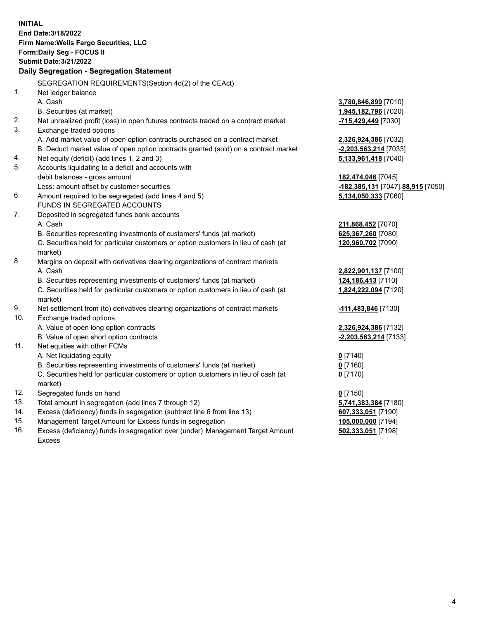**INITIAL End Date:3/18/2022 Firm Name:Wells Fargo Securities, LLC Form:Daily Seg - FOCUS II Submit Date:3/21/2022 Daily Segregation - Segregation Statement** SEGREGATION REQUIREMENTS(Section 4d(2) of the CEAct) 1. Net ledger balance A. Cash **3,780,846,899** [7010] B. Securities (at market) **1,945,182,796** [7020] 2. Net unrealized profit (loss) in open futures contracts traded on a contract market **-715,429,449** [7030] 3. Exchange traded options A. Add market value of open option contracts purchased on a contract market **2,326,924,386** [7032] B. Deduct market value of open option contracts granted (sold) on a contract market **-2,203,563,214** [7033] 4. Net equity (deficit) (add lines 1, 2 and 3) **5,133,961,418** [7040] 5. Accounts liquidating to a deficit and accounts with debit balances - gross amount **182,474,046** [7045] Less: amount offset by customer securities **-182,385,131** [7047] **88,915** [7050] 6. Amount required to be segregated (add lines 4 and 5) **5,134,050,333** [7060] FUNDS IN SEGREGATED ACCOUNTS 7. Deposited in segregated funds bank accounts A. Cash **211,868,452** [7070] B. Securities representing investments of customers' funds (at market) **625,367,260** [7080] C. Securities held for particular customers or option customers in lieu of cash (at market) **120,960,702** [7090] 8. Margins on deposit with derivatives clearing organizations of contract markets A. Cash **2,822,901,137** [7100] B. Securities representing investments of customers' funds (at market) **124,186,413** [7110] C. Securities held for particular customers or option customers in lieu of cash (at market) **1,824,222,094** [7120] 9. Net settlement from (to) derivatives clearing organizations of contract markets **-111,483,846** [7130] 10. Exchange traded options A. Value of open long option contracts **2,326,924,386** [7132] B. Value of open short option contracts **-2,203,563,214** [7133] 11. Net equities with other FCMs A. Net liquidating equity **0** [7140] B. Securities representing investments of customers' funds (at market) **0** [7160] C. Securities held for particular customers or option customers in lieu of cash (at market) **0** [7170] 12. Segregated funds on hand **0** [7150] 13. Total amount in segregation (add lines 7 through 12) **5,741,383,384** [7180] 14. Excess (deficiency) funds in segregation (subtract line 6 from line 13) **607,333,051** [7190] 15. Management Target Amount for Excess funds in segregation **105,000,000** [7194] 16. Excess (deficiency) funds in segregation over (under) Management Target Amount **502,333,051** [7198]

Excess